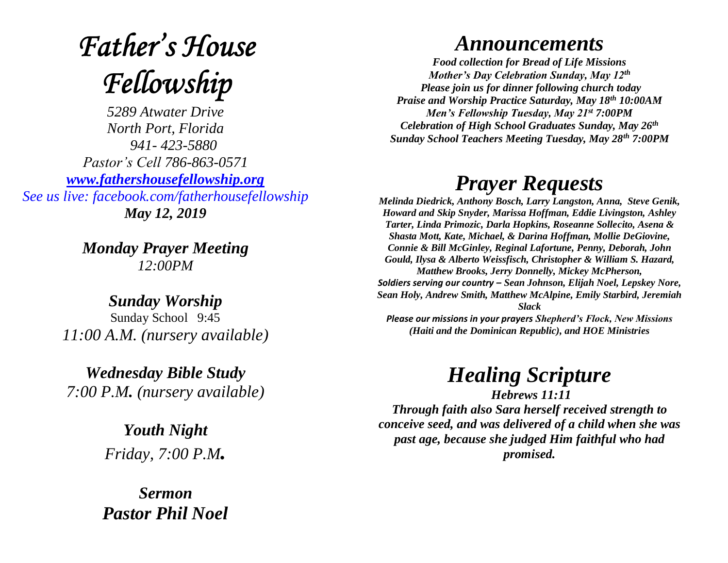## **Father's House** Fellowship

*5289 Atwater Drive North Port, Florida 941- 423-5880 Pastor's Cell 786-863-0571 [www.fathershousefellowship.org](http://www.fathershousefellowship.org/) See us live: facebook.com/fatherhousefellowship May 12, 2019*

> *Monday Prayer Meeting 12:00PM*

*Sunday Worship* Sunday School 9:45 *11:00 A.M. (nursery available)*

*Wednesday Bible Study 7:00 P.M. (nursery available)*

> *Youth Night Friday, 7:00 P.M.*

*Sermon Pastor Phil Noel*

## *Announcements*

*Food collection for Bread of Life Missions Mother's Day Celebration Sunday, May 12th Please join us for dinner following church today Praise and Worship Practice Saturday, May 18th 10:00AM Men's Fellowship Tuesday, May 21st 7:00PM Celebration of High School Graduates Sunday, May 26th Sunday School Teachers Meeting Tuesday, May 28th 7:00PM*

## *Prayer Requests*

*Melinda Diedrick, Anthony Bosch, Larry Langston, Anna, Steve Genik, Howard and Skip Snyder, Marissa Hoffman, Eddie Livingston, Ashley Tarter, Linda Primozic, Darla Hopkins, Roseanne Sollecito, Asena & Shasta Mott, Kate, Michael, & Darina Hoffman, Mollie DeGiovine, Connie & Bill McGinley, Reginal Lafortune, Penny, Deborah, John Gould, Ilysa & Alberto Weissfisch, Christopher & William S. Hazard, Matthew Brooks, Jerry Donnelly, Mickey McPherson, Soldiers serving our country – Sean Johnson, Elijah Noel, Lepskey Nore, Sean Holy, Andrew Smith, Matthew McAlpine, Emily Starbird, Jeremiah Slack Please our missions in your prayers Shepherd's Flock, New Missions* 

*(Haiti and the Dominican Republic), and HOE Ministries*

*Healing Scripture*

*Hebrews 11:11 Through faith also Sara herself received strength to conceive seed, and was delivered of a child when she was past age, because she judged Him faithful who had promised.*